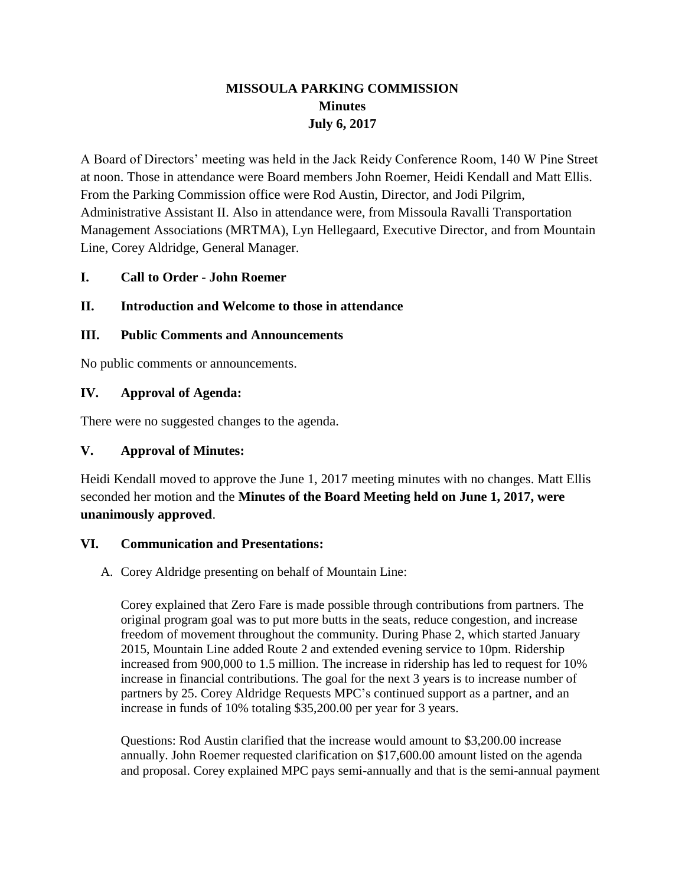# **MISSOULA PARKING COMMISSION Minutes July 6, 2017**

A Board of Directors' meeting was held in the Jack Reidy Conference Room, 140 W Pine Street at noon. Those in attendance were Board members John Roemer, Heidi Kendall and Matt Ellis. From the Parking Commission office were Rod Austin, Director, and Jodi Pilgrim, Administrative Assistant II. Also in attendance were, from Missoula Ravalli Transportation Management Associations (MRTMA), Lyn Hellegaard, Executive Director, and from Mountain Line, Corey Aldridge, General Manager.

### **I. Call to Order - John Roemer**

### **II. Introduction and Welcome to those in attendance**

#### **III. Public Comments and Announcements**

No public comments or announcements.

#### **IV. Approval of Agenda:**

There were no suggested changes to the agenda.

#### **V. Approval of Minutes:**

Heidi Kendall moved to approve the June 1, 2017 meeting minutes with no changes. Matt Ellis seconded her motion and the **Minutes of the Board Meeting held on June 1, 2017, were unanimously approved**.

#### **VI. Communication and Presentations:**

A. Corey Aldridge presenting on behalf of Mountain Line:

Corey explained that Zero Fare is made possible through contributions from partners. The original program goal was to put more butts in the seats, reduce congestion, and increase freedom of movement throughout the community. During Phase 2, which started January 2015, Mountain Line added Route 2 and extended evening service to 10pm. Ridership increased from 900,000 to 1.5 million. The increase in ridership has led to request for 10% increase in financial contributions. The goal for the next 3 years is to increase number of partners by 25. Corey Aldridge Requests MPC's continued support as a partner, and an increase in funds of 10% totaling \$35,200.00 per year for 3 years.

Questions: Rod Austin clarified that the increase would amount to \$3,200.00 increase annually. John Roemer requested clarification on \$17,600.00 amount listed on the agenda and proposal. Corey explained MPC pays semi-annually and that is the semi-annual payment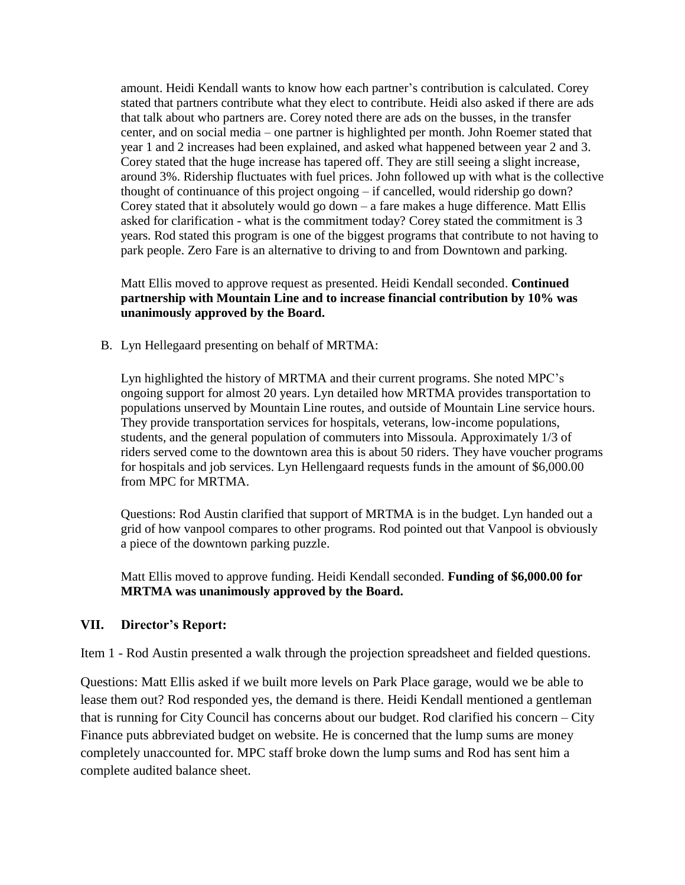amount. Heidi Kendall wants to know how each partner's contribution is calculated. Corey stated that partners contribute what they elect to contribute. Heidi also asked if there are ads that talk about who partners are. Corey noted there are ads on the busses, in the transfer center, and on social media – one partner is highlighted per month. John Roemer stated that year 1 and 2 increases had been explained, and asked what happened between year 2 and 3. Corey stated that the huge increase has tapered off. They are still seeing a slight increase, around 3%. Ridership fluctuates with fuel prices. John followed up with what is the collective thought of continuance of this project ongoing – if cancelled, would ridership go down? Corey stated that it absolutely would go down – a fare makes a huge difference. Matt Ellis asked for clarification - what is the commitment today? Corey stated the commitment is 3 years. Rod stated this program is one of the biggest programs that contribute to not having to park people. Zero Fare is an alternative to driving to and from Downtown and parking.

Matt Ellis moved to approve request as presented. Heidi Kendall seconded. **Continued partnership with Mountain Line and to increase financial contribution by 10% was unanimously approved by the Board.**

B. Lyn Hellegaard presenting on behalf of MRTMA:

Lyn highlighted the history of MRTMA and their current programs. She noted MPC's ongoing support for almost 20 years. Lyn detailed how MRTMA provides transportation to populations unserved by Mountain Line routes, and outside of Mountain Line service hours. They provide transportation services for hospitals, veterans, low-income populations, students, and the general population of commuters into Missoula. Approximately 1/3 of riders served come to the downtown area this is about 50 riders. They have voucher programs for hospitals and job services. Lyn Hellengaard requests funds in the amount of \$6,000.00 from MPC for MRTMA.

Questions: Rod Austin clarified that support of MRTMA is in the budget. Lyn handed out a grid of how vanpool compares to other programs. Rod pointed out that Vanpool is obviously a piece of the downtown parking puzzle.

Matt Ellis moved to approve funding. Heidi Kendall seconded. **Funding of \$6,000.00 for MRTMA was unanimously approved by the Board.**

#### **VII. Director's Report:**

Item 1 - Rod Austin presented a walk through the projection spreadsheet and fielded questions.

Questions: Matt Ellis asked if we built more levels on Park Place garage, would we be able to lease them out? Rod responded yes, the demand is there. Heidi Kendall mentioned a gentleman that is running for City Council has concerns about our budget. Rod clarified his concern – City Finance puts abbreviated budget on website. He is concerned that the lump sums are money completely unaccounted for. MPC staff broke down the lump sums and Rod has sent him a complete audited balance sheet.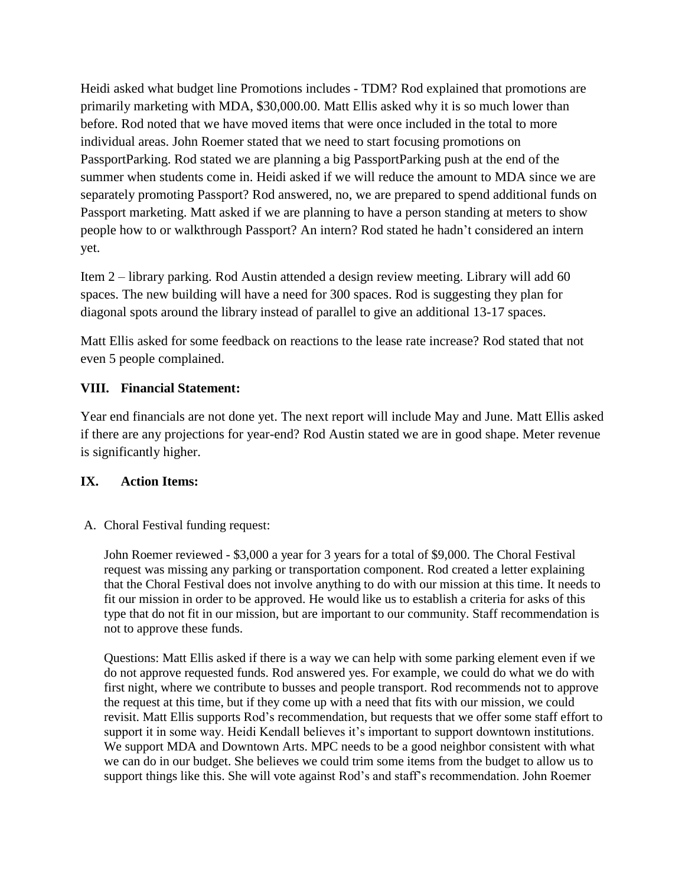Heidi asked what budget line Promotions includes - TDM? Rod explained that promotions are primarily marketing with MDA, \$30,000.00. Matt Ellis asked why it is so much lower than before. Rod noted that we have moved items that were once included in the total to more individual areas. John Roemer stated that we need to start focusing promotions on PassportParking. Rod stated we are planning a big PassportParking push at the end of the summer when students come in. Heidi asked if we will reduce the amount to MDA since we are separately promoting Passport? Rod answered, no, we are prepared to spend additional funds on Passport marketing. Matt asked if we are planning to have a person standing at meters to show people how to or walkthrough Passport? An intern? Rod stated he hadn't considered an intern yet.

Item 2 – library parking. Rod Austin attended a design review meeting. Library will add 60 spaces. The new building will have a need for 300 spaces. Rod is suggesting they plan for diagonal spots around the library instead of parallel to give an additional 13-17 spaces.

Matt Ellis asked for some feedback on reactions to the lease rate increase? Rod stated that not even 5 people complained.

### **VIII. Financial Statement:**

Year end financials are not done yet. The next report will include May and June. Matt Ellis asked if there are any projections for year-end? Rod Austin stated we are in good shape. Meter revenue is significantly higher.

### **IX. Action Items:**

### A. Choral Festival funding request:

John Roemer reviewed - \$3,000 a year for 3 years for a total of \$9,000. The Choral Festival request was missing any parking or transportation component. Rod created a letter explaining that the Choral Festival does not involve anything to do with our mission at this time. It needs to fit our mission in order to be approved. He would like us to establish a criteria for asks of this type that do not fit in our mission, but are important to our community. Staff recommendation is not to approve these funds.

Questions: Matt Ellis asked if there is a way we can help with some parking element even if we do not approve requested funds. Rod answered yes. For example, we could do what we do with first night, where we contribute to busses and people transport. Rod recommends not to approve the request at this time, but if they come up with a need that fits with our mission, we could revisit. Matt Ellis supports Rod's recommendation, but requests that we offer some staff effort to support it in some way. Heidi Kendall believes it's important to support downtown institutions. We support MDA and Downtown Arts. MPC needs to be a good neighbor consistent with what we can do in our budget. She believes we could trim some items from the budget to allow us to support things like this. She will vote against Rod's and staff's recommendation. John Roemer